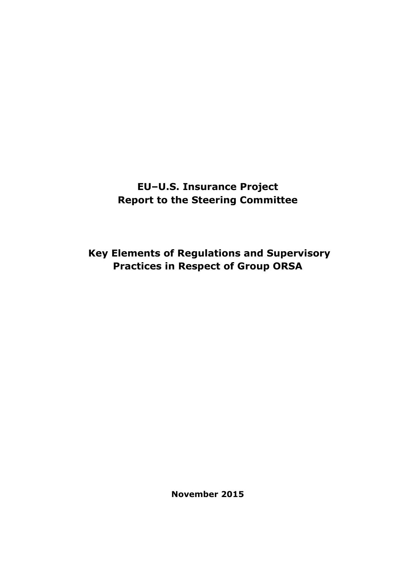**EU–U.S. Insurance Project Report to the Steering Committee** 

 **Key Elements of Regulations and Supervisory Practices in Respect of Group ORSA** 

**November 2015**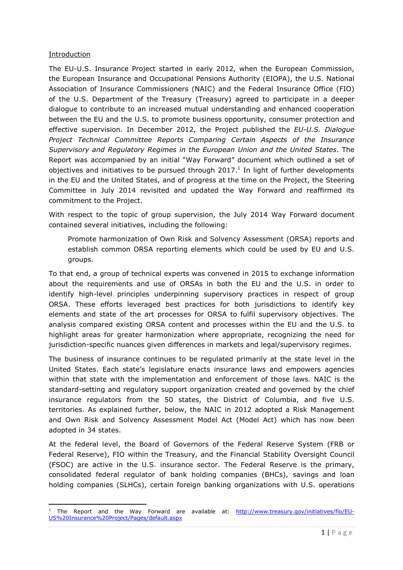### **Introduction**

 $\overline{a}$ 

The EU-U.S. Insurance Project started in early 2012, when the European Commission, the European Insurance and Occupational Pensions Authority (EIOPA), the U.S. National Association of Insurance Commissioners (NAIC) and the Federal Insurance Office (FIO) of the U.S. Department of the Treasury (Treasury) agreed to participate in a deeper dialogue to contribute to an increased mutual understanding and enhanced cooperation between the EU and the U.S. to promote business opportunity, consumer protection and effective supervision. In December 2012, the Project published the *EU-U.S. Dialogue Project Technical Committee Reports Comparing Certain Aspects of the Insurance Supervisory and Regulatory Regimes in the European Union and the United States*. The Report was accompanied by an initial "Way Forward" document which outlined a set of objectives and initiatives to be pursued through 2017. $^1$  In light of further developments in the EU and the United States, and of progress at the time on the Project, the Steering Committee in July 2014 revisited and updated the Way Forward and reaffirmed its commitment to the Project.

With respect to the topic of group supervision, the July 2014 Way Forward document contained several initiatives, including the following:

Promote harmonization of Own Risk and Solvency Assessment (ORSA) reports and establish common ORSA reporting elements which could be used by EU and U.S. groups.

To that end, a group of technical experts was convened in 2015 to exchange information about the requirements and use of ORSAs in both the EU and the U.S. in order to identify high-level principles underpinning supervisory practices in respect of group ORSA. These efforts leveraged best practices for both jurisdictions to identify key elements and state of the art processes for ORSA to fulfil supervisory objectives. The analysis compared existing ORSA content and processes within the EU and the U.S. to highlight areas for greater harmonization where appropriate, recognizing the need for jurisdiction-specific nuances given differences in markets and legal/supervisory regimes.

The business of insurance continues to be regulated primarily at the state level in the United States. Each state's legislature enacts insurance laws and empowers agencies within that state with the implementation and enforcement of those laws. NAIC is the standard-setting and regulatory support organization created and governed by the chief insurance regulators from the 50 states, the District of Columbia, and five U.S. territories. As explained further, below, the NAIC in 2012 adopted a Risk Management and Own Risk and Solvency Assessment Model Act (Model Act) which has now been adopted in 34 states.

At the federal level, the Board of Governors of the Federal Reserve System (FRB or Federal Reserve), FIO within the Treasury, and the Financial Stability Oversight Council (FSOC) are active in the U.S. insurance sector. The Federal Reserve is the primary, consolidated federal regulator of bank holding companies (BHCs), savings and loan holding companies (SLHCs), certain foreign banking organizations with U.S. operations

<sup>&</sup>lt;sup>1</sup> The Report and the Way Forward are available at: http://www.treasury.gov/initiatives/fio/EU-US%20Insurance%20Project/Pages/default.aspx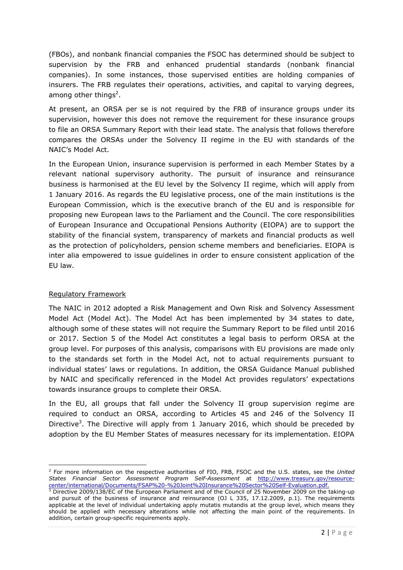(FBOs), and nonbank financial companies the FSOC has determined should be subject to supervision by the FRB and enhanced prudential standards (nonbank financial companies). In some instances, those supervised entities are holding companies of insurers. The FRB regulates their operations, activities, and capital to varying degrees, among other things<sup>2</sup>.

At present, an ORSA per se is not required by the FRB of insurance groups under its supervision, however this does not remove the requirement for these insurance groups to file an ORSA Summary Report with their lead state. The analysis that follows therefore compares the ORSAs under the Solvency II regime in the EU with standards of the NAIC's Model Act.

In the European Union, insurance supervision is performed in each Member States by a relevant national supervisory authority. The pursuit of insurance and reinsurance business is harmonised at the EU level by the Solvency II regime, which will apply from 1 January 2016. As regards the EU legislative process, one of the main institutions is the European Commission, which is the executive branch of the EU and is responsible for proposing new European laws to the Parliament and the Council. The core responsibilities of European Insurance and Occupational Pensions Authority (EIOPA) are to support the stability of the financial system, transparency of markets and financial products as well as the protection of policyholders, pension scheme members and beneficiaries. EIOPA is inter alia empowered to issue guidelines in order to ensure consistent application of the EU law.

## Regulatory Framework

 $\overline{\phantom{0}}$ 

The NAIC in 2012 adopted a Risk Management and Own Risk and Solvency Assessment Model Act (Model Act). The Model Act has been implemented by 34 states to date, although some of these states will not require the Summary Report to be filed until 2016 or 2017. Section 5 of the Model Act constitutes a legal basis to perform ORSA at the group level. For purposes of this analysis, comparisons with EU provisions are made only to the standards set forth in the Model Act, not to actual requirements pursuant to individual states' laws or regulations. In addition, the ORSA Guidance Manual published by NAIC and specifically referenced in the Model Act provides regulators' expectations towards insurance groups to complete their ORSA.

In the EU, all groups that fall under the Solvency II group supervision regime are required to conduct an ORSA, according to Articles 45 and 246 of the Solvency II Directive<sup>3</sup>. The Directive will apply from 1 January 2016, which should be preceded by adoption by the EU Member States of measures necessary for its implementation. EIOPA

<sup>2</sup> For more information on the respective authorities of FIO, FRB, FSOC and the U.S. states, see the *United States Financial Sector Assessment Program SelfAssessment* at http://www.treasury.gov/resource center/international/Documents/FSAP%20-%20Joint%20Insurance%20Sector%20Self-Evaluation.pdf.

 $3$  Directive 2009/138/EC of the European Parliament and of the Council of 25 November 2009 on the taking-up and pursuit of the business of insurance and reinsurance (OJ L 335, 17.12.2009, p.1). The requirements applicable at the level of individual undertaking apply mutatis mutandis at the group level, which means they should be applied with necessary alterations while not affecting the main point of the requirements. In addition, certain group-specific requirements apply.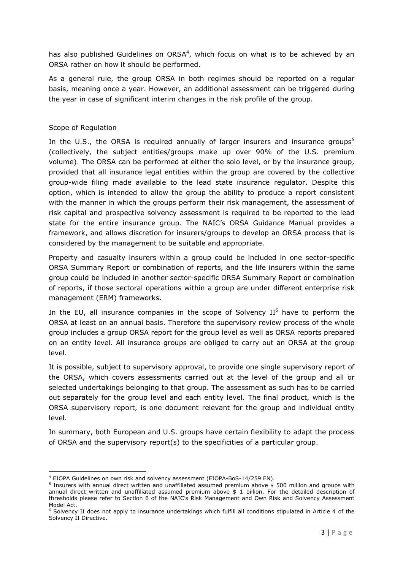has also published Guidelines on  $ORSA<sup>4</sup>$ , which focus on what is to be achieved by an ORSA rather on how it should be performed.

As a general rule, the group ORSA in both regimes should be reported on a regular basis, meaning once a year. However, an additional assessment can be triggered during the year in case of significant interim changes in the risk profile of the group.

## Scope of Regulation

 $\overline{\phantom{0}}$ 

In the U.S., the ORSA is required annually of larger insurers and insurance groups<sup>5</sup> (collectively, the subject entities/groups make up over 90% of the U.S. premium volume). The ORSA can be performed at either the solo level, or by the insurance group, provided that all insurance legal entities within the group are covered by the collective group-wide filing made available to the lead state insurance regulator. Despite this option, which is intended to allow the group the ability to produce a report consistent with the manner in which the groups perform their risk management, the assessment of risk capital and prospective solvency assessment is required to be reported to the lead state for the entire insurance group. The NAIC's ORSA Guidance Manual provides a framework, and allows discretion for insurers/groups to develop an ORSA process that is considered by the management to be suitable and appropriate.

Property and casualty insurers within a group could be included in one sector-specific ORSA Summary Report or combination of reports, and the life insurers within the same group could be included in another sector-specific ORSA Summary Report or combination of reports, if those sectoral operations within a group are under different enterprise risk management (ERM) frameworks.

In the EU, all insurance companies in the scope of Solvency  $II<sup>6</sup>$  have to perform the ORSA at least on an annual basis. Therefore the supervisory review process of the whole group includes a group ORSA report for the group level as well as ORSA reports prepared on an entity level. All insurance groups are obliged to carry out an ORSA at the group level.

It is possible, subject to supervisory approval, to provide one single supervisory report of the ORSA, which covers assessments carried out at the level of the group and all or selected undertakings belonging to that group. The assessment as such has to be carried out separately for the group level and each entity level. The final product, which is the ORSA supervisory report, is one document relevant for the group and individual entity level.

In summary, both European and U.S. groups have certain flexibility to adapt the process of ORSA and the supervisory report(s) to the specificities of a particular group.

<sup>&</sup>lt;sup>4</sup> EIOPA Guidelines on own risk and solvency assessment (EIOPA-BoS-14/259 EN).

<sup>5</sup> Insurers with annual direct written and unaffiliated assumed premium above \$ 500 million and groups with annual direct written and unaffiliated assumed premium above \$ 1 billion. For the detailed description of thresholds please refer to Section 6 of the NAIC's Risk Management and Own Risk and Solvency Assessment Model Act.

<sup>6</sup> Solvency II does not apply to insurance undertakings which fulfill all conditions stipulated in Article 4 of the Solvency II Directive.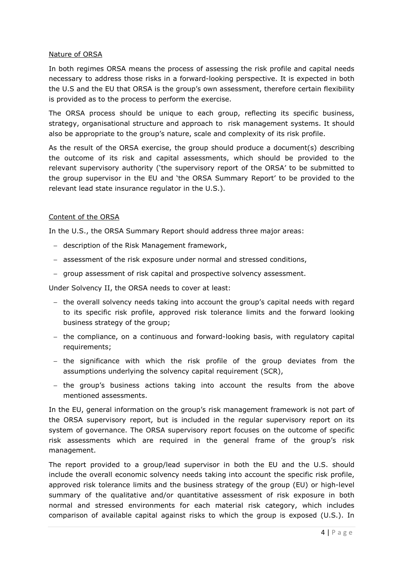#### Nature of ORSA

In both regimes ORSA means the process of assessing the risk profile and capital needs necessary to address those risks in a forward-looking perspective. It is expected in both the U.S and the EU that ORSA is the group's own assessment, therefore certain flexibility is provided as to the process to perform the exercise.

The ORSA process should be unique to each group, reflecting its specific business, strategy, organisational structure and approach to risk management systems. It should also be appropriate to the group's nature, scale and complexity of its risk profile.

As the result of the ORSA exercise, the group should produce a document(s) describing the outcome of its risk and capital assessments, which should be provided to the relevant supervisory authority ('the supervisory report of the ORSA' to be submitted to the group supervisor in the EU and 'the ORSA Summary Report' to be provided to the relevant lead state insurance regulator in the U.S.).

#### Content of the ORSA

In the U.S., the ORSA Summary Report should address three major areas:

- − description of the Risk Management framework,
- − assessment of the risk exposure under normal and stressed conditions,
- − group assessment of risk capital and prospective solvency assessment.

Under Solvency II, the ORSA needs to cover at least:

- − the overall solvency needs taking into account the group's capital needs with regard to its specific risk profile, approved risk tolerance limits and the forward looking business strategy of the group;
- the compliance, on a continuous and forward-looking basis, with regulatory capital requirements;
- − the significance with which the risk profile of the group deviates from the assumptions underlying the solvency capital requirement (SCR),
- − the group's business actions taking into account the results from the above mentioned assessments.

In the EU, general information on the group's risk management framework is not part of the ORSA supervisory report, but is included in the regular supervisory report on its system of governance. The ORSA supervisory report focuses on the outcome of specific risk assessments which are required in the general frame of the group's risk management.

The report provided to a group/lead supervisor in both the EU and the U.S. should include the overall economic solvency needs taking into account the specific risk profile, approved risk tolerance limits and the business strategy of the group (EU) or high-level summary of the qualitative and/or quantitative assessment of risk exposure in both normal and stressed environments for each material risk category, which includes comparison of available capital against risks to which the group is exposed (U.S.). In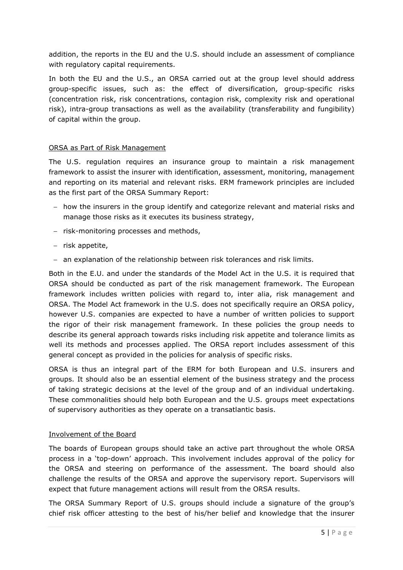addition, the reports in the EU and the U.S. should include an assessment of compliance with regulatory capital requirements.

In both the EU and the U.S., an ORSA carried out at the group level should address group-specific issues, such as: the effect of diversification, group-specific risks (concentration risk, risk concentrations, contagion risk, complexity risk and operational risk), intra-group transactions as well as the availability (transferability and fungibility) of capital within the group.

#### ORSA as Part of Risk Management

The U.S. regulation requires an insurance group to maintain a risk management framework to assist the insurer with identification, assessment, monitoring, management and reporting on its material and relevant risks. ERM framework principles are included as the first part of the ORSA Summary Report:

- − how the insurers in the group identify and categorize relevant and material risks and manage those risks as it executes its business strategy,
- − risk-monitoring processes and methods,
- − risk appetite,
- − an explanation of the relationship between risk tolerances and risk limits.

Both in the E.U. and under the standards of the Model Act in the U.S. it is required that ORSA should be conducted as part of the risk management framework. The European framework includes written policies with regard to, inter alia, risk management and ORSA. The Model Act framework in the U.S. does not specifically require an ORSA policy, however U.S. companies are expected to have a number of written policies to support the rigor of their risk management framework. In these policies the group needs to describe its general approach towards risks including risk appetite and tolerance limits as well its methods and processes applied. The ORSA report includes assessment of this general concept as provided in the policies for analysis of specific risks.

ORSA is thus an integral part of the ERM for both European and U.S. insurers and groups. It should also be an essential element of the business strategy and the process of taking strategic decisions at the level of the group and of an individual undertaking. These commonalities should help both European and the U.S. groups meet expectations of supervisory authorities as they operate on a transatlantic basis.

## Involvement of the Board

The boards of European groups should take an active part throughout the whole ORSA process in a 'top-down' approach. This involvement includes approval of the policy for the ORSA and steering on performance of the assessment. The board should also challenge the results of the ORSA and approve the supervisory report. Supervisors will expect that future management actions will result from the ORSA results.

The ORSA Summary Report of U.S. groups should include a signature of the group's chief risk officer attesting to the best of his/her belief and knowledge that the insurer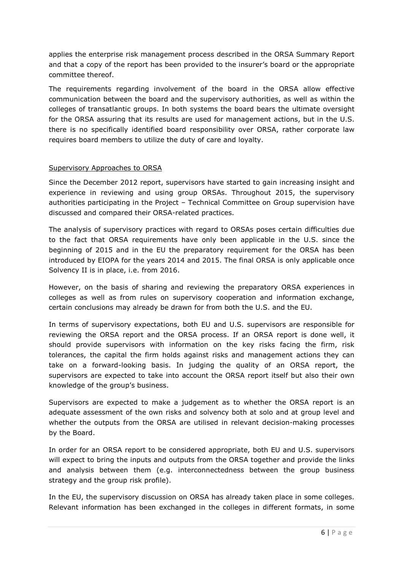applies the enterprise risk management process described in the ORSA Summary Report and that a copy of the report has been provided to the insurer's board or the appropriate committee thereof.

The requirements regarding involvement of the board in the ORSA allow effective communication between the board and the supervisory authorities, as well as within the colleges of transatlantic groups. In both systems the board bears the ultimate oversight for the ORSA assuring that its results are used for management actions, but in the U.S. there is no specifically identified board responsibility over ORSA, rather corporate law requires board members to utilize the duty of care and loyalty.

#### Supervisory Approaches to ORSA

Since the December 2012 report, supervisors have started to gain increasing insight and experience in reviewing and using group ORSAs. Throughout 2015, the supervisory authorities participating in the Project – Technical Committee on Group supervision have discussed and compared their ORSA-related practices.

The analysis of supervisory practices with regard to ORSAs poses certain difficulties due to the fact that ORSA requirements have only been applicable in the U.S. since the beginning of 2015 and in the EU the preparatory requirement for the ORSA has been introduced by EIOPA for the years 2014 and 2015. The final ORSA is only applicable once Solvency II is in place, i.e. from 2016.

However, on the basis of sharing and reviewing the preparatory ORSA experiences in colleges as well as from rules on supervisory cooperation and information exchange, certain conclusions may already be drawn for from both the U.S. and the EU.

In terms of supervisory expectations, both EU and U.S. supervisors are responsible for reviewing the ORSA report and the ORSA process. If an ORSA report is done well, it should provide supervisors with information on the key risks facing the firm, risk tolerances, the capital the firm holds against risks and management actions they can take on a forward-looking basis. In judging the quality of an ORSA report, the supervisors are expected to take into account the ORSA report itself but also their own knowledge of the group's business.

Supervisors are expected to make a judgement as to whether the ORSA report is an adequate assessment of the own risks and solvency both at solo and at group level and whether the outputs from the ORSA are utilised in relevant decision-making processes by the Board.

In order for an ORSA report to be considered appropriate, both EU and U.S. supervisors will expect to bring the inputs and outputs from the ORSA together and provide the links and analysis between them (e.g. interconnectedness between the group business strategy and the group risk profile).

In the EU, the supervisory discussion on ORSA has already taken place in some colleges. Relevant information has been exchanged in the colleges in different formats, in some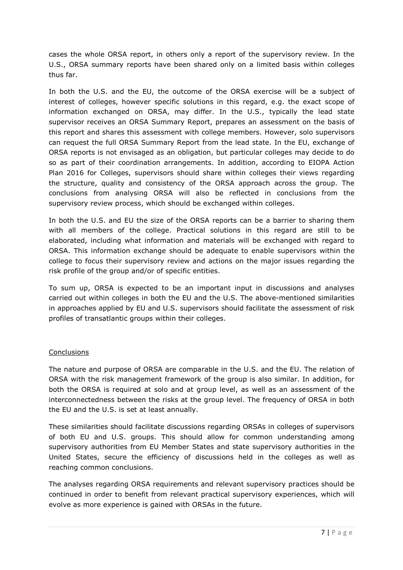cases the whole ORSA report, in others only a report of the supervisory review. In the U.S., ORSA summary reports have been shared only on a limited basis within colleges thus far.

In both the U.S. and the EU, the outcome of the ORSA exercise will be a subject of interest of colleges, however specific solutions in this regard, e.g. the exact scope of information exchanged on ORSA, may differ. In the U.S., typically the lead state supervisor receives an ORSA Summary Report, prepares an assessment on the basis of this report and shares this assessment with college members. However, solo supervisors can request the full ORSA Summary Report from the lead state. In the EU, exchange of ORSA reports is not envisaged as an obligation, but particular colleges may decide to do so as part of their coordination arrangements. In addition, according to EIOPA Action Plan 2016 for Colleges, supervisors should share within colleges their views regarding the structure, quality and consistency of the ORSA approach across the group. The conclusions from analysing ORSA will also be reflected in conclusions from the supervisory review process, which should be exchanged within colleges.

In both the U.S. and EU the size of the ORSA reports can be a barrier to sharing them with all members of the college. Practical solutions in this regard are still to be elaborated, including what information and materials will be exchanged with regard to ORSA. This information exchange should be adequate to enable supervisors within the college to focus their supervisory review and actions on the major issues regarding the risk profile of the group and/or of specific entities.

To sum up, ORSA is expected to be an important input in discussions and analyses carried out within colleges in both the EU and the U.S. The abovementioned similarities in approaches applied by EU and U.S. supervisors should facilitate the assessment of risk profiles of transatlantic groups within their colleges.

## **Conclusions**

The nature and purpose of ORSA are comparable in the U.S. and the EU. The relation of ORSA with the risk management framework of the group is also similar. In addition, for both the ORSA is required at solo and at group level, as well as an assessment of the interconnectedness between the risks at the group level. The frequency of ORSA in both the EU and the U.S. is set at least annually.

These similarities should facilitate discussions regarding ORSAs in colleges of supervisors of both EU and U.S. groups. This should allow for common understanding among supervisory authorities from EU Member States and state supervisory authorities in the United States, secure the efficiency of discussions held in the colleges as well as reaching common conclusions.

The analyses regarding ORSA requirements and relevant supervisory practices should be continued in order to benefit from relevant practical supervisory experiences, which will evolve as more experience is gained with ORSAs in the future.